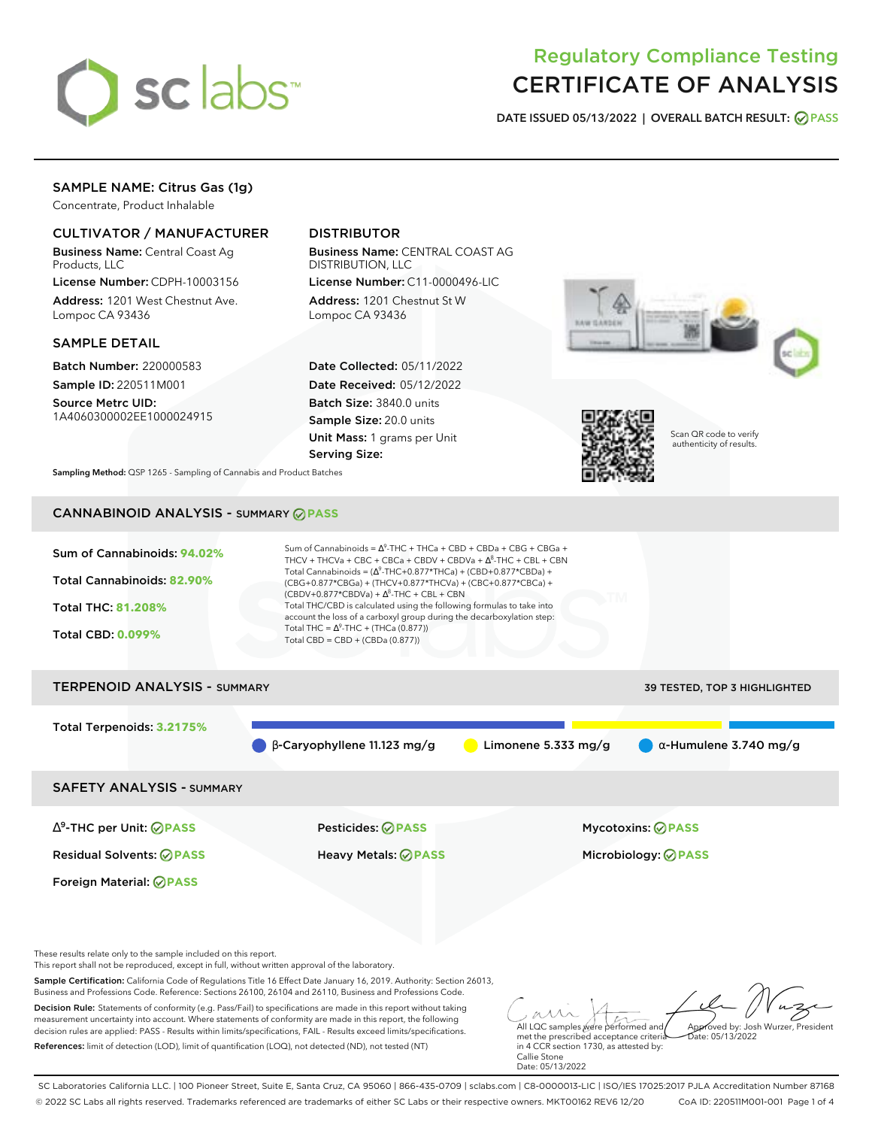

# Regulatory Compliance Testing CERTIFICATE OF ANALYSIS

**DATE ISSUED 05/13/2022 | OVERALL BATCH RESULT: PASS**

# SAMPLE NAME: Citrus Gas (1g)

Concentrate, Product Inhalable

# CULTIVATOR / MANUFACTURER

Business Name: Central Coast Ag Products, LLC

License Number: CDPH-10003156 Address: 1201 West Chestnut Ave. Lompoc CA 93436

## SAMPLE DETAIL

Batch Number: 220000583 Sample ID: 220511M001

Source Metrc UID: 1A4060300002EE1000024915

# DISTRIBUTOR

Business Name: CENTRAL COAST AG DISTRIBUTION, LLC License Number: C11-0000496-LIC

Address: 1201 Chestnut St W Lompoc CA 93436

Date Collected: 05/11/2022 Date Received: 05/12/2022 Batch Size: 3840.0 units Sample Size: 20.0 units Unit Mass: 1 grams per Unit Serving Size:





Scan QR code to verify authenticity of results.

**Sampling Method:** QSP 1265 - Sampling of Cannabis and Product Batches

# CANNABINOID ANALYSIS - SUMMARY **PASS**



Foreign Material: **PASS**

These results relate only to the sample included on this report.

This report shall not be reproduced, except in full, without written approval of the laboratory.

Sample Certification: California Code of Regulations Title 16 Effect Date January 16, 2019. Authority: Section 26013, Business and Professions Code. Reference: Sections 26100, 26104 and 26110, Business and Professions Code.

Decision Rule: Statements of conformity (e.g. Pass/Fail) to specifications are made in this report without taking measurement uncertainty into account. Where statements of conformity are made in this report, the following decision rules are applied: PASS - Results within limits/specifications, FAIL - Results exceed limits/specifications. References: limit of detection (LOD), limit of quantification (LOQ), not detected (ND), not tested (NT)

All LQC samples were performed and met the prescribed acceptance criteria Approved by: Josh Wurzer, President  $ate: 05/13/2022$ 

in 4 CCR section 1730, as attested by: Callie Stone Date: 05/13/2022

SC Laboratories California LLC. | 100 Pioneer Street, Suite E, Santa Cruz, CA 95060 | 866-435-0709 | sclabs.com | C8-0000013-LIC | ISO/IES 17025:2017 PJLA Accreditation Number 87168 © 2022 SC Labs all rights reserved. Trademarks referenced are trademarks of either SC Labs or their respective owners. MKT00162 REV6 12/20 CoA ID: 220511M001-001 Page 1 of 4